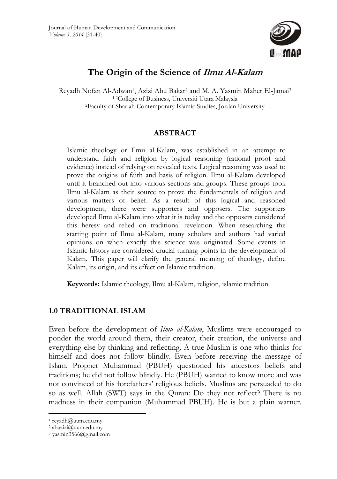

# **The Origin of the Science of Ilmu Al-Kalam**

Reyadh Nofan Al-Adwan1, Azizi Abu Bakar2 and M. A. Yasmin Maher El-Jamai3 1 2College of Business, Universiti Utara Malaysia 2Faculty of Shariah Contemporary Islamic Studies, Jordan University

## **ABSTRACT**

Islamic theology or Ilmu al-Kalam, was established in an attempt to understand faith and religion by logical reasoning (rational proof and evidence) instead of relying on revealed texts. Logical reasoning was used to prove the origins of faith and basis of religion. Ilmu al-Kalam developed until it branched out into various sections and groups. These groups took Ilmu al-Kalam as their source to prove the fundamentals of religion and various matters of belief. As a result of this logical and reasoned development, there were supporters and opposers. The supporters developed Ilmu al-Kalam into what it is today and the opposers considered this heresy and relied on traditional revelation. When researching the starting point of Ilmu al-Kalam, many scholars and authors had varied opinions on when exactly this science was originated. Some events in Islamic history are considered crucial turning points in the development of Kalam. This paper will clarify the general meaning of theology, define Kalam, its origin, and its effect on Islamic tradition.

**Keywords:** Islamic theology, Ilmu al-Kalam, religion, islamic tradition.

## **1.0 TRADITIONAL ISLAM**

Even before the development of *Ilmu al-Kalam*, Muslims were encouraged to ponder the world around them, their creator, their creation, the universe and everything else by thinking and reflecting. A true Muslim is one who thinks for himself and does not follow blindly. Even before receiving the message of Islam, Prophet Muhammad (PBUH) questioned his ancestors beliefs and traditions; he did not follow blindly. He (PBUH) wanted to know more and was not convinced of his forefathers' religious beliefs. Muslims are persuaded to do so as well. Allah (SWT) says in the Quran: Do they not reflect? There is no madness in their companion (Muhammad PBUH). He is but a plain warner.

 $\overline{a}$ 

<sup>1</sup> reyadh@uum.edu.my

 $2$  abazizi@uum.edu.my

<sup>3</sup> yasmin3566@gmail.com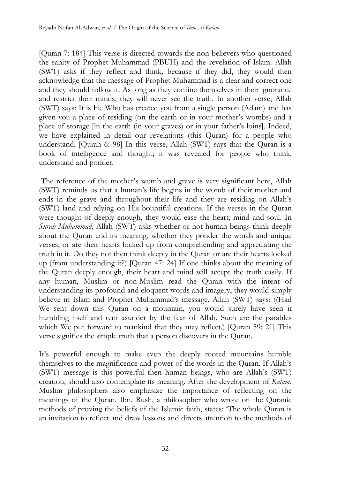[Quran 7: 184] This verse is directed towards the non-believers who questioned the sanity of Prophet Muhammad (PBUH) and the revelation of Islam. Allah (SWT) asks if they reflect and think, because if they did, they would then acknowledge that the message of Prophet Muhammad is a clear and correct one and they should follow it. As long as they confine themselves in their ignorance and restrict their minds, they will never see the truth. In another verse, Allah (SWT) says: It is He Who has created you from a single person (Adam) and has given you a place of residing (on the earth or in your mother's wombs) and a place of storage [in the earth (in your graves) or in your father's loins]. Indeed, we have explained in detail our revelations (this Quran) for a people who understand. [Quran 6: 98] In this verse, Allah (SWT) says that the Quran is a book of intelligence and thought; it was revealed for people who think, understand and ponder.

 The reference of the mother's womb and grave is very significant here, Allah (SWT) reminds us that a human's life begins in the womb of their mother and ends in the grave and throughout their life and they are residing on Allah's (SWT) land and relying on His bountiful creations. If the verses in the Quran were thought of deeply enough, they would ease the heart, mind and soul. In *Surah Muhammad*, Allah (SWT) asks whether or not human beings think deeply about the Quran and its meaning, whether they ponder the words and unique verses, or are their hearts locked up from comprehending and appreciating the truth in it. Do they not then think deeply in the Quran or are their hearts locked up (from understanding it?) [Quran 47: 24] If one thinks about the meaning of the Quran deeply enough, their heart and mind will accept the truth easily. If any human, Muslim or non-Muslim read the Quran with the intent of understanding its profound and eloquent words and imagery, they would simply believe in Islam and Prophet Muhammad's message. Allah (SWT) says: ((Had We sent down this Quran on a mountain, you would surely have seen it humbling itself and rent asunder by the fear of Allah. Such are the parables which We put forward to mankind that they may reflect.) [Quran 59: 21] This verse signifies the simple truth that a person discovers in the Quran.

It's powerful enough to make even the deeply rooted mountains humble themselves to the magnificence and power of the words in the Quran. If Allah's (SWT) message is this powerful then human beings, who are Allah's (SWT) creation, should also contemplate its meaning. After the development of *Kalam*, Muslim philosophers also emphasize the importance of reflecting on the meanings of the Quran. Ibn. Rush, a philosopher who wrote on the Quranic methods of proving the beliefs of the Islamic faith, states: 'The whole Quran is an invitation to reflect and draw lessons and directs attention to the methods of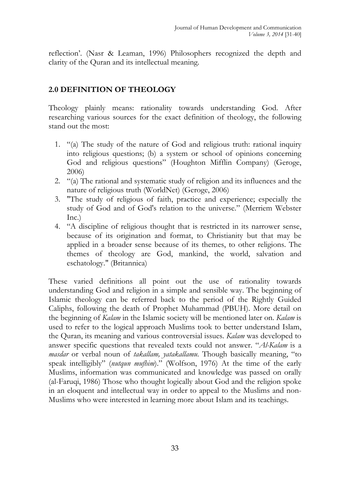reflection'. (Nasr & Leaman, 1996) Philosophers recognized the depth and clarity of the Quran and its intellectual meaning.

## **2.0 DEFINITION OF THEOLOGY**

Theology plainly means: rationality towards understanding God. After researching various sources for the exact definition of theology, the following stand out the most:

- 1. "(a) The study of the nature of God and religious truth: rational inquiry into religious questions; (b) a system or school of opinions concerning God and religious questions" (Houghton Mifflin Company) (Geroge, 2006)
- 2. "(a) The rational and systematic study of religion and its influences and the nature of religious truth (WorldNet) (Geroge, 2006)
- 3. "The study of religious of faith, practice and experience; especially the study of God and of God's relation to the universe." (Merriem Webster Inc.)
- 4. "A discipline of religious thought that is restricted in its narrower sense, because of its origination and format, to Christianity but that may be applied in a broader sense because of its themes, to other religions. The themes of theology are God, mankind, the world, salvation and eschatology." (Britannica)

These varied definitions all point out the use of rationality towards understanding God and religion in a simple and sensible way. The beginning of Islamic theology can be referred back to the period of the Rightly Guided Caliphs, following the death of Prophet Muhammad (PBUH). More detail on the beginning of *Kalam* in the Islamic society will be mentioned later on. *Kalam* is used to refer to the logical approach Muslims took to better understand Islam, the Quran, its meaning and various controversial issues. *Kalam* was developed to answer specific questions that revealed texts could not answer. "*Al-Kalam* is a *masdar* or verbal noun of *takallam, yatakallamu*. Though basically meaning, "to speak intelligibly" (*nutqun mufhim*)." (Wolfson, 1976) At the time of the early Muslims, information was communicated and knowledge was passed on orally (al-Faruqi, 1986) Those who thought logically about God and the religion spoke in an eloquent and intellectual way in order to appeal to the Muslims and non-Muslims who were interested in learning more about Islam and its teachings.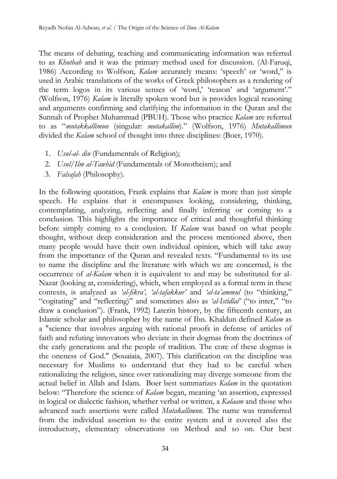The means of debating, teaching and communicating information was referred to as *Khutbah* and it was the primary method used for discussion. (Al-Faruqi, 1986) According to Wolfson, *Kalam* accurately means: 'speech' or 'word," is used in Arabic translations of the works of Greek philosophers as a rendering of the term logos in its various senses of 'word,' 'reason' and 'argument'." (Wolfson, 1976) *Kalam* is literally spoken word but is provides logical reasoning and arguments confirming and clarifying the information in the Quran and the Sunnah of Prophet Muhammad (PBUH). Those who practice *Kalam* are referred to as "*mutakkallimun* (singular: *mutakallim*)." (Wolfson, 1976) *Mutakallimun* divided the *Kalam* school of thought into three disciplines: (Boer, 1970).

- 1. *Usul-al- din* (Fundamentals of Religion);
- 2. *Usul/Ilm al-Tawhid* (Fundamentals of Monotheism); and
- 3. *Falsafah* (Philosophy).

In the following quotation, Frank explains that *Kalam* is more than just simple speech. He explains that it encompasses looking, considering, thinking, contemplating, analyzing, reflecting and finally inferring or coming to a conclusion. This highlights the importance of critical and thoughtful thinking before simply coming to a conclusion. If *Kalam* was based on what people thought, without deep consideration and the process mentioned above, then many people would have their own individual opinion, which will take away from the importance of the Quran and revealed texts. "Fundamental to its use to name the discipline and the literature with which we are concerned, is the occurrence of *al-Kalam* when it is equivalent to and may be substituted for al-Nazar (looking at, considering), which, when employed as a formal term in these contexts, is analyzed as *'al-fikra', 'al-tafakkur'* and *'al-ta'ammul* (to "thinking," "cogitating" and "reflecting)" and sometimes also as *'al-Istidlal'* ("to inter," "to draw a conclusion"). (Frank, 1992) Laterin history, by the fifteenth century, an Islamic scholar and philosopher by the name of Ibn. Khaldun defined *Kalam* as a "science that involves arguing with rational proofs in defense of articles of faith and refuting innovators who deviate in their dogmas from the doctrines of the early generations and the people of tradition. The core of these dogmas is the oneness of God." (Souaiaia, 2007). This clarification on the discipline was necessary for Muslims to understand that they had to be careful when rationalizing the religion, since over rationalizing may diverge someone from the actual belief in Allah and Islam. Boer best summarizes *Kalam* in the quotation below: "Therefore the science of *Kalam* began, meaning 'an assertion, expressed in logical or dialectic fashion, whether verbal or written, a *Kalaam* and those who advanced such assertions were called *Mutakallimun*. The name was transferred from the individual assertion to the entire system and it covered also the introductory, elementary observations on Method and so on. Our best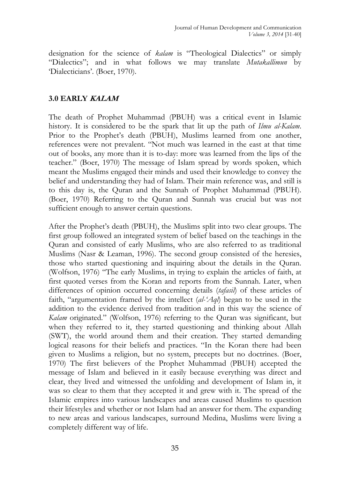designation for the science of *kalam* is "Theological Dialectics" or simply "Dialectics"; and in what follows we may translate *Mutakallimun* by 'Dialecticians'. (Boer, 1970).

#### **3.0 EARLY KALAM**

The death of Prophet Muhammad (PBUH) was a critical event in Islamic history. It is considered to be the spark that lit up the path of *Ilmu al-Kalam*. Prior to the Prophet's death (PBUH), Muslims learned from one another, references were not prevalent. "Not much was learned in the east at that time out of books, any more than it is to-day: more was learned from the lips of the teacher." (Boer, 1970) The message of Islam spread by words spoken, which meant the Muslims engaged their minds and used their knowledge to convey the belief and understanding they had of Islam. Their main reference was, and still is to this day is, the Quran and the Sunnah of Prophet Muhammad (PBUH). (Boer, 1970) Referring to the Quran and Sunnah was crucial but was not sufficient enough to answer certain questions.

After the Prophet's death (PBUH), the Muslims split into two clear groups. The first group followed an integrated system of belief based on the teachings in the Quran and consisted of early Muslims, who are also referred to as traditional Muslims (Nasr & Leaman, 1996). The second group consisted of the heresies, those who started questioning and inquiring about the details in the Quran. (Wolfson, 1976) "The early Muslims, in trying to explain the articles of faith, at first quoted verses from the Koran and reports from the Sunnah. Later, when differences of opinion occurred concerning details (*tafasil*) of these articles of faith, "argumentation framed by the intellect (*al-'Aql*) began to be used in the addition to the evidence derived from tradition and in this way the science of *Kalam* originated." (Wolfson, 1976) referring to the Quran was significant, but when they referred to it, they started questioning and thinking about Allah (SWT), the world around them and their creation. They started demanding logical reasons for their beliefs and practices. "In the Koran there had been given to Muslims a religion, but no system, precepts but no doctrines. (Boer, 1970) The first believers of the Prophet Muhammad (PBUH) accepted the message of Islam and believed in it easily because everything was direct and clear, they lived and witnessed the unfolding and development of Islam in, it was so clear to them that they accepted it and grew with it. The spread of the Islamic empires into various landscapes and areas caused Muslims to question their lifestyles and whether or not Islam had an answer for them. The expanding to new areas and various landscapes, surround Medina, Muslims were living a completely different way of life.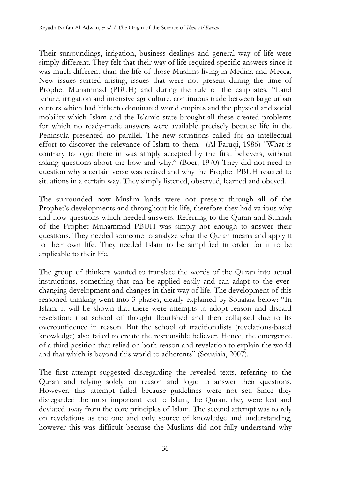Their surroundings, irrigation, business dealings and general way of life were simply different. They felt that their way of life required specific answers since it was much different than the life of those Muslims living in Medina and Mecca. New issues started arising, issues that were not present during the time of Prophet Muhammad (PBUH) and during the rule of the caliphates. "Land tenure, irrigation and intensive agriculture, continuous trade between large urban centers which had hitherto dominated world empires and the physical and social mobility which Islam and the Islamic state brought-all these created problems for which no ready-made answers were available precisely because life in the Peninsula presented no parallel. The new situations called for an intellectual effort to discover the relevance of Islam to them. (Al-Faruqi, 1986) "What is contrary to logic there in was simply accepted by the first believers, without asking questions about the how and why." (Boer, 1970) They did not need to question why a certain verse was recited and why the Prophet PBUH reacted to situations in a certain way. They simply listened, observed, learned and obeyed.

The surrounded now Muslim lands were not present through all of the Prophet's developments and throughout his life, therefore they had various why and how questions which needed answers. Referring to the Quran and Sunnah of the Prophet Muhammad PBUH was simply not enough to answer their questions. They needed someone to analyze what the Quran means and apply it to their own life. They needed Islam to be simplified in order for it to be applicable to their life.

The group of thinkers wanted to translate the words of the Quran into actual instructions, something that can be applied easily and can adapt to the everchanging development and changes in their way of life. The development of this reasoned thinking went into 3 phases, clearly explained by Souaiaia below: "In Islam, it will be shown that there were attempts to adopt reason and discard revelation; that school of thought flourished and then collapsed due to its overconfidence in reason. But the school of traditionalists (revelations-based knowledge) also failed to create the responsible believer. Hence, the emergence of a third position that relied on both reason and revelation to explain the world and that which is beyond this world to adherents" (Souaiaia, 2007).

The first attempt suggested disregarding the revealed texts, referring to the Quran and relying solely on reason and logic to answer their questions. However, this attempt failed because guidelines were not set. Since they disregarded the most important text to Islam, the Quran, they were lost and deviated away from the core principles of Islam. The second attempt was to rely on revelations as the one and only source of knowledge and understanding, however this was difficult because the Muslims did not fully understand why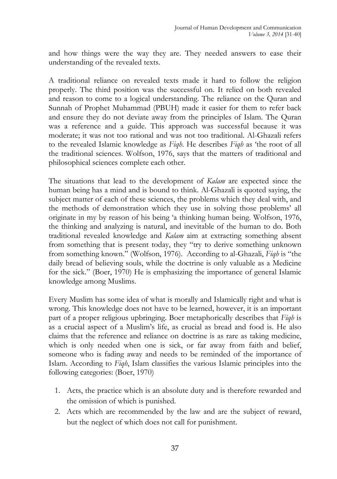and how things were the way they are. They needed answers to ease their understanding of the revealed texts.

A traditional reliance on revealed texts made it hard to follow the religion properly. The third position was the successful on. It relied on both revealed and reason to come to a logical understanding. The reliance on the Quran and Sunnah of Prophet Muhammad (PBUH) made it easier for them to refer back and ensure they do not deviate away from the principles of Islam. The Quran was a reference and a guide. This approach was successful because it was moderate; it was not too rational and was not too traditional. Al-Ghazali refers to the revealed Islamic knowledge as *Fiqh*. He describes *Fiqh* as 'the root of all the traditional sciences. Wolfson, 1976, says that the matters of traditional and philosophical sciences complete each other.

The situations that lead to the development of *Kalam* are expected since the human being has a mind and is bound to think. Al-Ghazali is quoted saying, the subject matter of each of these sciences, the problems which they deal with, and the methods of demonstration which they use in solving those problems' all originate in my by reason of his being 'a thinking human being. Wolfson, 1976, the thinking and analyzing is natural, and inevitable of the human to do. Both traditional revealed knowledge and *Kalam* aim at extracting something absent from something that is present today, they "try to derive something unknown from something known." (Wolfson, 1976). According to al-Ghazali, *Fiqh* is "the daily bread of believing souls, while the doctrine is only valuable as a Medicine for the sick." (Boer, 1970) He is emphasizing the importance of general Islamic knowledge among Muslims.

Every Muslim has some idea of what is morally and Islamically right and what is wrong. This knowledge does not have to be learned, however, it is an important part of a proper religious upbringing. Boer metaphorically describes that *Fiqh* is as a crucial aspect of a Muslim's life, as crucial as bread and food is. He also claims that the reference and reliance on doctrine is as rare as taking medicine, which is only needed when one is sick, or far away from faith and belief, someone who is fading away and needs to be reminded of the importance of Islam. According to *Fiqh*, Islam classifies the various Islamic principles into the following categories: (Boer, 1970)

- 1. Acts, the practice which is an absolute duty and is therefore rewarded and the omission of which is punished.
- 2. Acts which are recommended by the law and are the subject of reward, but the neglect of which does not call for punishment.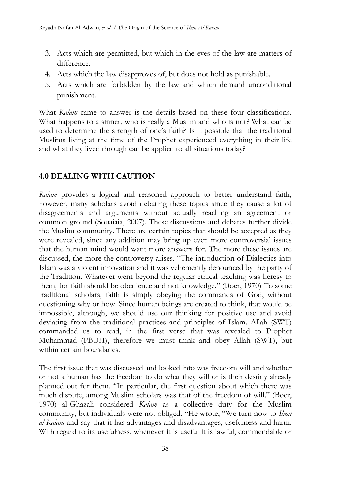- 3. Acts which are permitted, but which in the eyes of the law are matters of difference.
- 4. Acts which the law disapproves of, but does not hold as punishable.
- 5. Acts which are forbidden by the law and which demand unconditional punishment.

What *Kalam* came to answer is the details based on these four classifications. What happens to a sinner, who is really a Muslim and who is not? What can be used to determine the strength of one's faith? Is it possible that the traditional Muslims living at the time of the Prophet experienced everything in their life and what they lived through can be applied to all situations today?

# **4.0 DEALING WITH CAUTION**

*Kalam* provides a logical and reasoned approach to better understand faith; however, many scholars avoid debating these topics since they cause a lot of disagreements and arguments without actually reaching an agreement or common ground (Souaiaia, 2007). These discussions and debates further divide the Muslim community. There are certain topics that should be accepted as they were revealed, since any addition may bring up even more controversial issues that the human mind would want more answers for. The more these issues are discussed, the more the controversy arises. "The introduction of Dialectics into Islam was a violent innovation and it was vehemently denounced by the party of the Tradition. Whatever went beyond the regular ethical teaching was heresy to them, for faith should be obedience and not knowledge." (Boer, 1970) To some traditional scholars, faith is simply obeying the commands of God, without questioning why or how. Since human beings are created to think, that would be impossible, although, we should use our thinking for positive use and avoid deviating from the traditional practices and principles of Islam. Allah (SWT) commanded us to read, in the first verse that was revealed to Prophet Muhammad (PBUH), therefore we must think and obey Allah (SWT), but within certain boundaries.

The first issue that was discussed and looked into was freedom will and whether or not a human has the freedom to do what they will or is their destiny already planned out for them. "In particular, the first question about which there was much dispute, among Muslim scholars was that of the freedom of will." (Boer, 1970) al-Ghazali considered *Kalam* as a collective duty for the Muslim community, but individuals were not obliged. "He wrote, "We turn now to *Ilmu al-Kalam* and say that it has advantages and disadvantages, usefulness and harm. With regard to its usefulness, whenever it is useful it is lawful, commendable or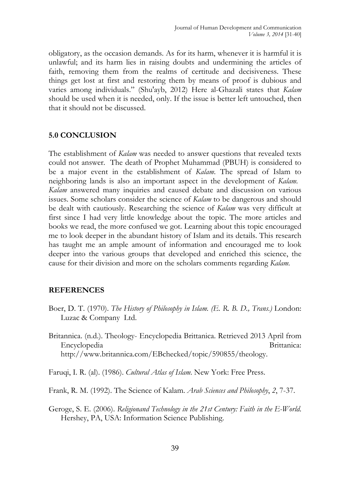obligatory, as the occasion demands. As for its harm, whenever it is harmful it is unlawful; and its harm lies in raising doubts and undermining the articles of faith, removing them from the realms of certitude and decisiveness. These things get lost at first and restoring them by means of proof is dubious and varies among individuals." (Shu'ayb, 2012) Here al-Ghazali states that *Kalam* should be used when it is needed, only. If the issue is better left untouched, then that it should not be discussed.

#### **5.0 CONCLUSION**

The establishment of *Kalam* was needed to answer questions that revealed texts could not answer. The death of Prophet Muhammad (PBUH) is considered to be a major event in the establishment of *Kalam*. The spread of Islam to neighboring lands is also an important aspect in the development of *Kalam. Kalam* answered many inquiries and caused debate and discussion on various issues. Some scholars consider the science of *Kalam* to be dangerous and should be dealt with cautiously. Researching the science of *Kalam* was very difficult at first since I had very little knowledge about the topic. The more articles and books we read, the more confused we got. Learning about this topic encouraged me to look deeper in the abundant history of Islam and its details. This research has taught me an ample amount of information and encouraged me to look deeper into the various groups that developed and enriched this science, the cause for their division and more on the scholars comments regarding *Kalam.*

#### **REFERENCES**

- Boer, D. T. (1970). *The History of Philosophy in Islam. (E. R. B. D., Trans.)* London: Luzac & Company Ltd.
- Britannica. (n.d.). Theology- Encyclopedia Brittanica. Retrieved 2013 April from Encyclopedia Brittanica: http://www.britannica.com/EBchecked/topic/590855/theology.

Faruqi, I. R. (al). (1986). *Cultural Atlas of Islam*. New York: Free Press.

Frank, R. M. (1992). The Science of Kalam. *Arab Sciences and Philosophy*, *2*, 7-37.

Geroge, S. E. (2006). *Religionand Technology in the 21st Century: Faith in the E-World*. Hershey, PA, USA: Information Science Publishing.